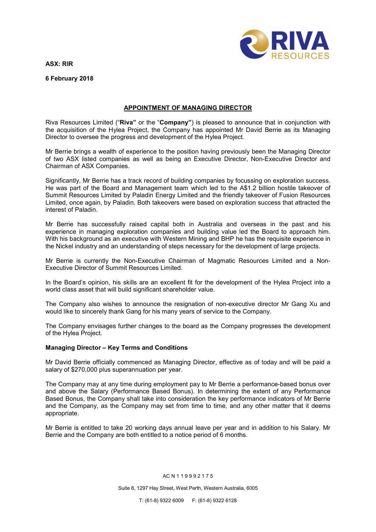ASX: RIR



6 February 2018

## APPOINTMENT OF MANAGING DIRECTOR

Riva Resources Limited ("Riva" or the "Company") is pleased to announce that in conjunction with the acquisition of the Hylea Project, the Company has appointed Mr David Berrie as its Managing Director to oversee the progress and development of the Hylea Project.

Mr Berrie brings a wealth of experience to the position having previously been the Managing Director of two ASX listed companies as well as being an Executive Director, Non-Executive Director and Chairman of ASX Companies.

Significantly, Mr Berrie has a track record of building companies by focussing on exploration success. He was part of the Board and Management team which led to the A\$1.2 billion hostile takeover of Summit Resources Limited by Paladin Energy Limited and the friendly takeover of Fusion Resources Limited, once again, by Paladin. Both takeovers were based on exploration success that attracted the interest of Paladin.

Mr Berrie has successfully raised capital both in Australia and overseas in the past and his experience in managing exploration companies and building value led the Board to approach him. With his background as an executive with Western Mining and BHP he has the requisite experience in the Nickel industry and an understanding of steps necessary for the development of large projects.

Mr Berrie is currently the Non-Executive Chairman of Magmatic Resources Limited and a Non-Executive Director of Summit Resources Limited.

In the Board's opinion, his skills are an excellent fit for the development of the Hylea Project into a world class asset that will build significant shareholder value.

The Company also wishes to announce the resignation of non-executive director Mr Gang Xu and would like to sincerely thank Gang for his many years of service to the Company.

The Company envisages further changes to the board as the Company progresses the development of the Hylea Project.

## Managing Director – Key Terms and Conditions

Mr David Berrie officially commenced as Managing Director, effective as of today and will be paid a salary of \$270,000 plus superannuation per year.

The Company may at any time during employment pay to Mr Berrie a performance-based bonus over and above the Salary (Performance Based Bonus). In determining the extent of any Performance Based Bonus, the Company shall take into consideration the key performance indicators of Mr Berrie and the Company, as the Company may set from time to time, and any other matter that it deems appropriate.

Mr Berrie is entitled to take 20 working days annual leave per year and in addition to his Salary. Mr Berrie and the Company are both entitled to a notice period of 6 months.

AC N 1 1 9 9 9 2 1 7 5

Suite 8, 1297 Hay Street, West Perth, Western Australia, 6005